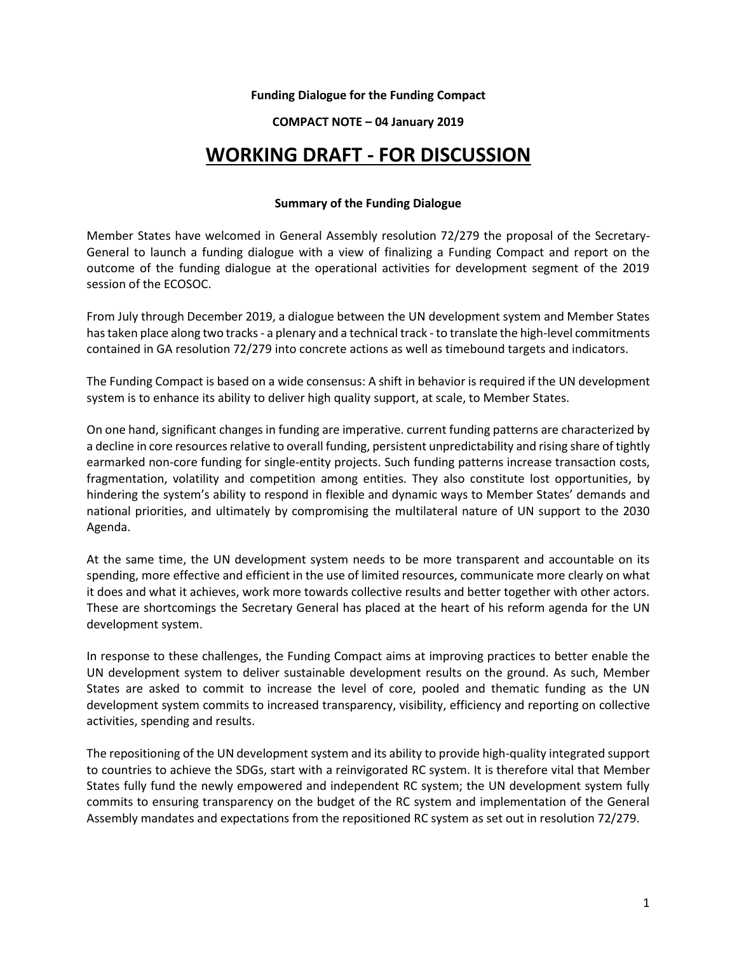# **Funding Dialogue for the Funding Compact**

# **COMPACT NOTE – 04 January 2019**

# **WORKING DRAFT - FOR DISCUSSION**

#### **Summary of the Funding Dialogue**

Member States have welcomed in General Assembly resolution 72/279 the proposal of the Secretary-General to launch a funding dialogue with a view of finalizing a Funding Compact and report on the outcome of the funding dialogue at the operational activities for development segment of the 2019 session of the ECOSOC.

From July through December 2019, a dialogue between the UN development system and Member States has taken place along two tracks - a plenary and a technical track - to translate the high-level commitments contained in GA resolution 72/279 into concrete actions as well as timebound targets and indicators.

The Funding Compact is based on a wide consensus: A shift in behavior is required if the UN development system is to enhance its ability to deliver high quality support, at scale, to Member States.

On one hand, significant changes in funding are imperative. current funding patterns are characterized by a decline in core resources relative to overall funding, persistent unpredictability and rising share of tightly earmarked non-core funding for single-entity projects. Such funding patterns increase transaction costs, fragmentation, volatility and competition among entities. They also constitute lost opportunities, by hindering the system's ability to respond in flexible and dynamic ways to Member States' demands and national priorities, and ultimately by compromising the multilateral nature of UN support to the 2030 Agenda.

At the same time, the UN development system needs to be more transparent and accountable on its spending, more effective and efficient in the use of limited resources, communicate more clearly on what it does and what it achieves, work more towards collective results and better together with other actors. These are shortcomings the Secretary General has placed at the heart of his reform agenda for the UN development system.

In response to these challenges, the Funding Compact aims at improving practices to better enable the UN development system to deliver sustainable development results on the ground. As such, Member States are asked to commit to increase the level of core, pooled and thematic funding as the UN development system commits to increased transparency, visibility, efficiency and reporting on collective activities, spending and results.

The repositioning of the UN development system and its ability to provide high-quality integrated support to countries to achieve the SDGs, start with a reinvigorated RC system. It is therefore vital that Member States fully fund the newly empowered and independent RC system; the UN development system fully commits to ensuring transparency on the budget of the RC system and implementation of the General Assembly mandates and expectations from the repositioned RC system as set out in resolution 72/279.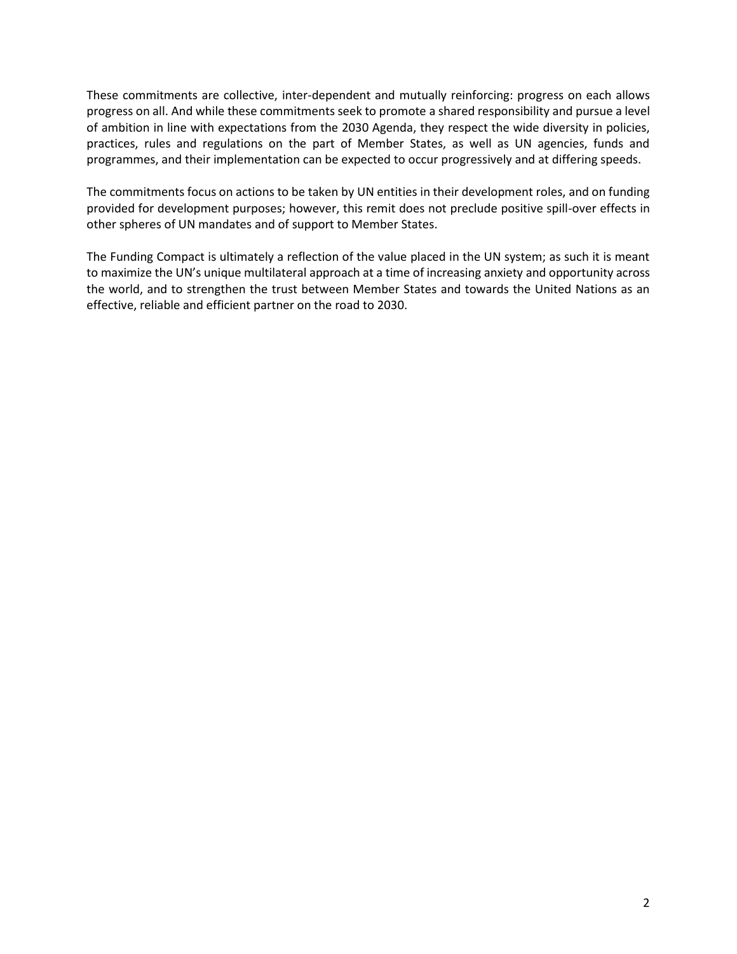These commitments are collective, inter-dependent and mutually reinforcing: progress on each allows progress on all. And while these commitments seek to promote a shared responsibility and pursue a level of ambition in line with expectations from the 2030 Agenda, they respect the wide diversity in policies, practices, rules and regulations on the part of Member States, as well as UN agencies, funds and programmes, and their implementation can be expected to occur progressively and at differing speeds.

The commitments focus on actions to be taken by UN entities in their development roles, and on funding provided for development purposes; however, this remit does not preclude positive spill-over effects in other spheres of UN mandates and of support to Member States.

The Funding Compact is ultimately a reflection of the value placed in the UN system; as such it is meant to maximize the UN's unique multilateral approach at a time of increasing anxiety and opportunity across the world, and to strengthen the trust between Member States and towards the United Nations as an effective, reliable and efficient partner on the road to 2030.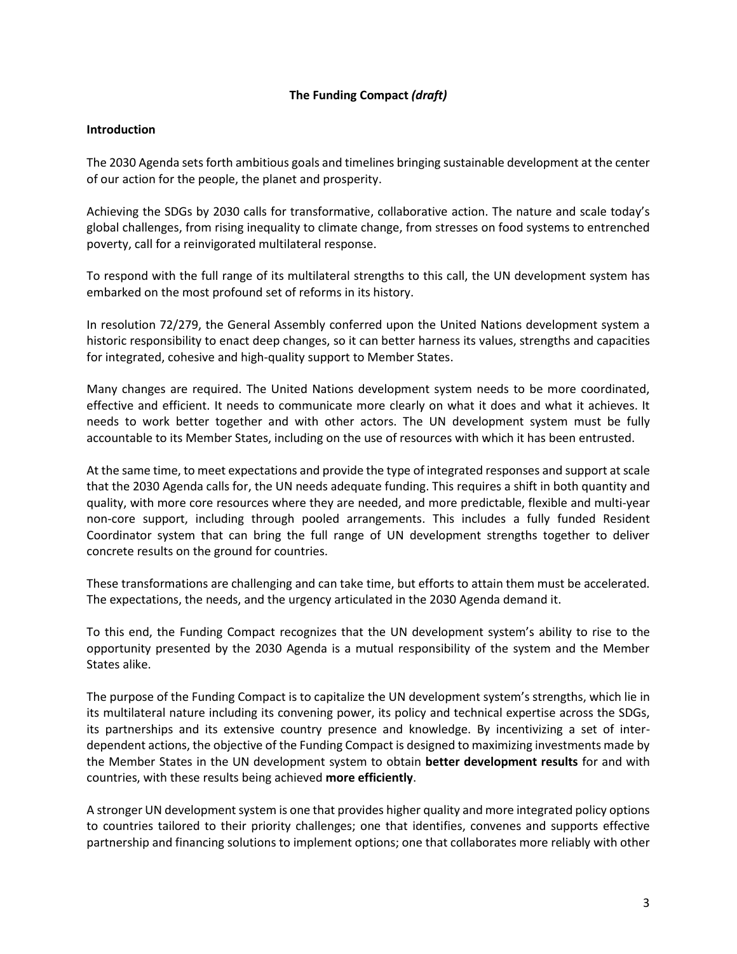# **The Funding Compact** *(draft)*

# **Introduction**

The 2030 Agenda sets forth ambitious goals and timelines bringing sustainable development at the center of our action for the people, the planet and prosperity.

Achieving the SDGs by 2030 calls for transformative, collaborative action. The nature and scale today's global challenges, from rising inequality to climate change, from stresses on food systems to entrenched poverty, call for a reinvigorated multilateral response.

To respond with the full range of its multilateral strengths to this call, the UN development system has embarked on the most profound set of reforms in its history.

In resolution 72/279, the General Assembly conferred upon the United Nations development system a historic responsibility to enact deep changes, so it can better harness its values, strengths and capacities for integrated, cohesive and high-quality support to Member States.

Many changes are required. The United Nations development system needs to be more coordinated, effective and efficient. It needs to communicate more clearly on what it does and what it achieves. It needs to work better together and with other actors. The UN development system must be fully accountable to its Member States, including on the use of resources with which it has been entrusted.

At the same time, to meet expectations and provide the type of integrated responses and support at scale that the 2030 Agenda calls for, the UN needs adequate funding. This requires a shift in both quantity and quality, with more core resources where they are needed, and more predictable, flexible and multi-year non-core support, including through pooled arrangements. This includes a fully funded Resident Coordinator system that can bring the full range of UN development strengths together to deliver concrete results on the ground for countries.

These transformations are challenging and can take time, but efforts to attain them must be accelerated. The expectations, the needs, and the urgency articulated in the 2030 Agenda demand it.

To this end, the Funding Compact recognizes that the UN development system's ability to rise to the opportunity presented by the 2030 Agenda is a mutual responsibility of the system and the Member States alike.

The purpose of the Funding Compact is to capitalize the UN development system's strengths, which lie in its multilateral nature including its convening power, its policy and technical expertise across the SDGs, its partnerships and its extensive country presence and knowledge. By incentivizing a set of interdependent actions, the objective of the Funding Compact is designed to maximizing investments made by the Member States in the UN development system to obtain **better development results** for and with countries, with these results being achieved **more efficiently**.

A stronger UN development system is one that provides higher quality and more integrated policy options to countries tailored to their priority challenges; one that identifies, convenes and supports effective partnership and financing solutions to implement options; one that collaborates more reliably with other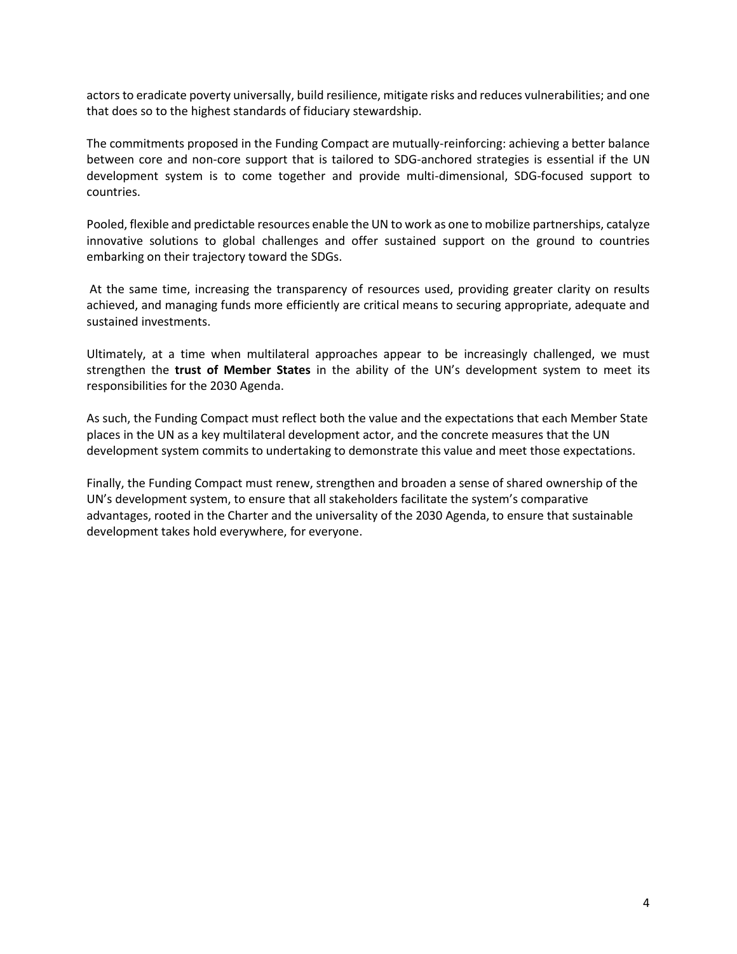actors to eradicate poverty universally, build resilience, mitigate risks and reduces vulnerabilities; and one that does so to the highest standards of fiduciary stewardship.

The commitments proposed in the Funding Compact are mutually-reinforcing: achieving a better balance between core and non-core support that is tailored to SDG-anchored strategies is essential if the UN development system is to come together and provide multi-dimensional, SDG-focused support to countries.

Pooled, flexible and predictable resources enable the UN to work as one to mobilize partnerships, catalyze innovative solutions to global challenges and offer sustained support on the ground to countries embarking on their trajectory toward the SDGs.

At the same time, increasing the transparency of resources used, providing greater clarity on results achieved, and managing funds more efficiently are critical means to securing appropriate, adequate and sustained investments.

Ultimately, at a time when multilateral approaches appear to be increasingly challenged, we must strengthen the **trust of Member States** in the ability of the UN's development system to meet its responsibilities for the 2030 Agenda.

As such, the Funding Compact must reflect both the value and the expectations that each Member State places in the UN as a key multilateral development actor, and the concrete measures that the UN development system commits to undertaking to demonstrate this value and meet those expectations.

Finally, the Funding Compact must renew, strengthen and broaden a sense of shared ownership of the UN's development system, to ensure that all stakeholders facilitate the system's comparative advantages, rooted in the Charter and the universality of the 2030 Agenda, to ensure that sustainable development takes hold everywhere, for everyone.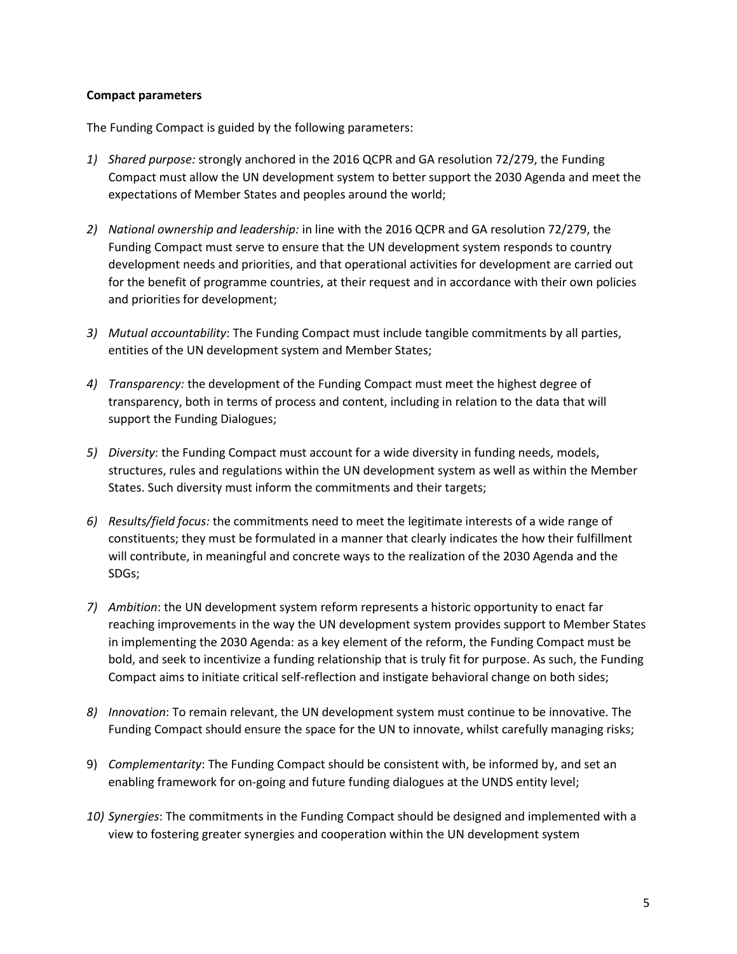# **Compact parameters**

The Funding Compact is guided by the following parameters:

- *1) Shared purpose:* strongly anchored in the 2016 QCPR and GA resolution 72/279, the Funding Compact must allow the UN development system to better support the 2030 Agenda and meet the expectations of Member States and peoples around the world;
- *2) National ownership and leadership:* in line with the 2016 QCPR and GA resolution 72/279, the Funding Compact must serve to ensure that the UN development system responds to country development needs and priorities, and that operational activities for development are carried out for the benefit of programme countries, at their request and in accordance with their own policies and priorities for development;
- *3) Mutual accountability*: The Funding Compact must include tangible commitments by all parties, entities of the UN development system and Member States;
- *4) Transparency:* the development of the Funding Compact must meet the highest degree of transparency, both in terms of process and content, including in relation to the data that will support the Funding Dialogues;
- *5) Diversity*: the Funding Compact must account for a wide diversity in funding needs, models, structures, rules and regulations within the UN development system as well as within the Member States. Such diversity must inform the commitments and their targets;
- *6) Results/field focus:* the commitments need to meet the legitimate interests of a wide range of constituents; they must be formulated in a manner that clearly indicates the how their fulfillment will contribute, in meaningful and concrete ways to the realization of the 2030 Agenda and the SDGs;
- *7) Ambition*: the UN development system reform represents a historic opportunity to enact far reaching improvements in the way the UN development system provides support to Member States in implementing the 2030 Agenda: as a key element of the reform, the Funding Compact must be bold, and seek to incentivize a funding relationship that is truly fit for purpose. As such, the Funding Compact aims to initiate critical self-reflection and instigate behavioral change on both sides;
- *8) Innovation*: To remain relevant, the UN development system must continue to be innovative. The Funding Compact should ensure the space for the UN to innovate, whilst carefully managing risks;
- 9) *Complementarity*: The Funding Compact should be consistent with, be informed by, and set an enabling framework for on-going and future funding dialogues at the UNDS entity level;
- *10) Synergies*: The commitments in the Funding Compact should be designed and implemented with a view to fostering greater synergies and cooperation within the UN development system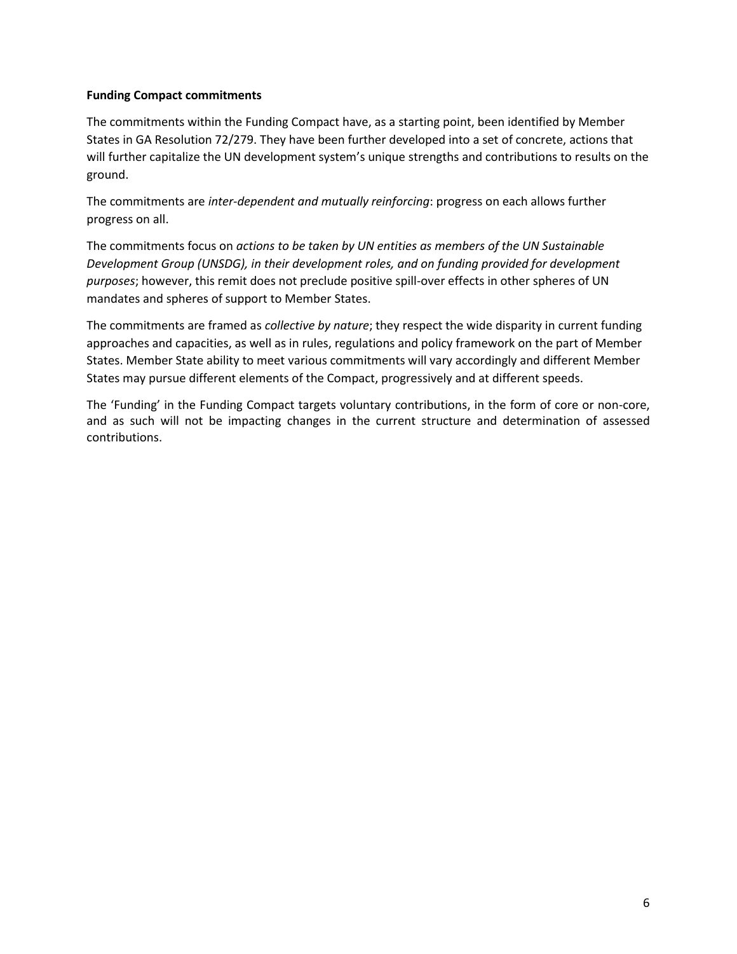# **Funding Compact commitments**

The commitments within the Funding Compact have, as a starting point, been identified by Member States in GA Resolution 72/279. They have been further developed into a set of concrete, actions that will further capitalize the UN development system's unique strengths and contributions to results on the ground.

The commitments are *inter-dependent and mutually reinforcing*: progress on each allows further progress on all.

The commitments focus on *actions to be taken by UN entities as members of the UN Sustainable Development Group (UNSDG), in their development roles, and on funding provided for development purposes*; however, this remit does not preclude positive spill-over effects in other spheres of UN mandates and spheres of support to Member States.

The commitments are framed as *collective by nature*; they respect the wide disparity in current funding approaches and capacities, as well as in rules, regulations and policy framework on the part of Member States. Member State ability to meet various commitments will vary accordingly and different Member States may pursue different elements of the Compact, progressively and at different speeds.

The 'Funding' in the Funding Compact targets voluntary contributions, in the form of core or non-core, and as such will not be impacting changes in the current structure and determination of assessed contributions.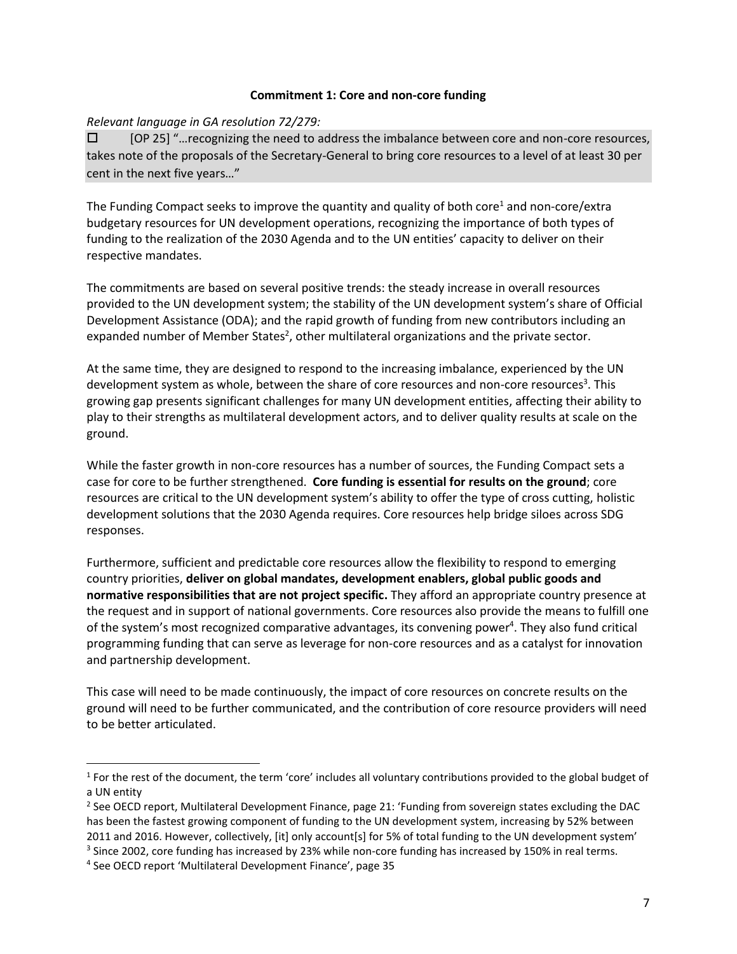#### **Commitment 1: Core and non-core funding**

# *Relevant language in GA resolution 72/279:*

 [OP 25] "…recognizing the need to address the imbalance between core and non-core resources, takes note of the proposals of the Secretary-General to bring core resources to a level of at least 30 per cent in the next five years…"

The Funding Compact seeks to improve the quantity and quality of both core<sup>1</sup> and non-core/extra budgetary resources for UN development operations, recognizing the importance of both types of funding to the realization of the 2030 Agenda and to the UN entities' capacity to deliver on their respective mandates.

The commitments are based on several positive trends: the steady increase in overall resources provided to the UN development system; the stability of the UN development system's share of Official Development Assistance (ODA); and the rapid growth of funding from new contributors including an expanded number of Member States<sup>2</sup>, other multilateral organizations and the private sector.

At the same time, they are designed to respond to the increasing imbalance, experienced by the UN development system as whole, between the share of core resources and non-core resources<sup>3</sup>. This growing gap presents significant challenges for many UN development entities, affecting their ability to play to their strengths as multilateral development actors, and to deliver quality results at scale on the ground.

While the faster growth in non-core resources has a number of sources, the Funding Compact sets a case for core to be further strengthened. **Core funding is essential for results on the ground**; core resources are critical to the UN development system's ability to offer the type of cross cutting, holistic development solutions that the 2030 Agenda requires. Core resources help bridge siloes across SDG responses.

Furthermore, sufficient and predictable core resources allow the flexibility to respond to emerging country priorities, **deliver on global mandates, development enablers, global public goods and normative responsibilities that are not project specific.** They afford an appropriate country presence at the request and in support of national governments. Core resources also provide the means to fulfill one of the system's most recognized comparative advantages, its convening power<sup>4</sup>. They also fund critical programming funding that can serve as leverage for non-core resources and as a catalyst for innovation and partnership development.

This case will need to be made continuously, the impact of core resources on concrete results on the ground will need to be further communicated, and the contribution of core resource providers will need to be better articulated.

 $\overline{\phantom{a}}$ 

 $1$  For the rest of the document, the term 'core' includes all voluntary contributions provided to the global budget of a UN entity

<sup>&</sup>lt;sup>2</sup> See OECD report, Multilateral Development Finance, page 21: 'Funding from sovereign states excluding the DAC has been the fastest growing component of funding to the UN development system, increasing by 52% between 2011 and 2016. However, collectively, [it] only account[s] for 5% of total funding to the UN development system'  $3$  Since 2002, core funding has increased by 23% while non-core funding has increased by 150% in real terms.

<sup>4</sup> See OECD report 'Multilateral Development Finance', page 35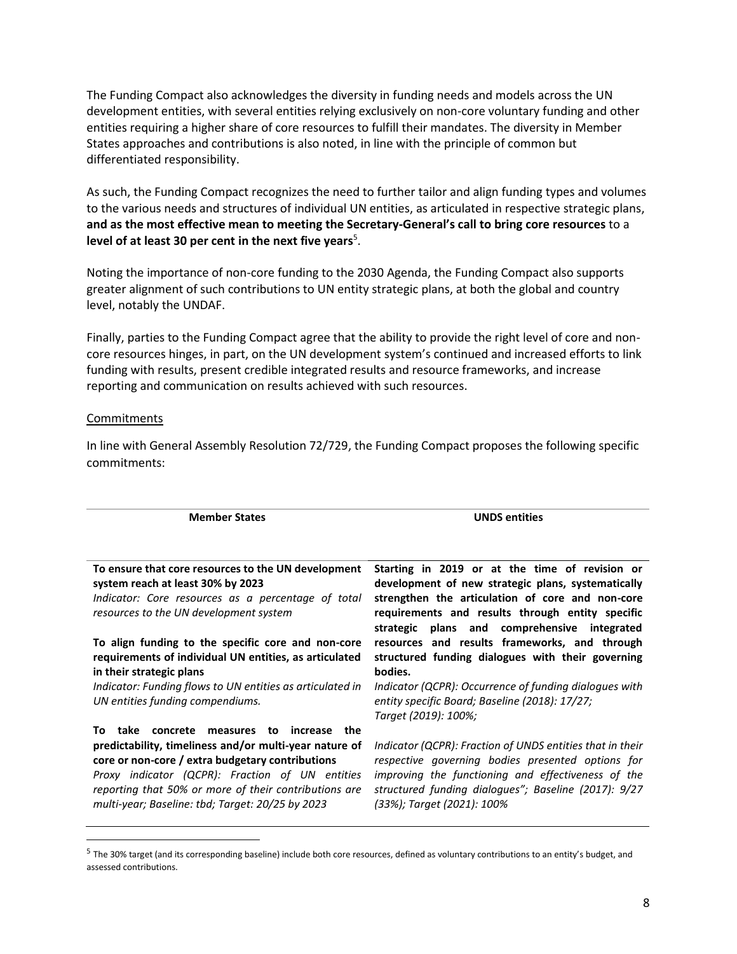The Funding Compact also acknowledges the diversity in funding needs and models across the UN development entities, with several entities relying exclusively on non-core voluntary funding and other entities requiring a higher share of core resources to fulfill their mandates. The diversity in Member States approaches and contributions is also noted, in line with the principle of common but differentiated responsibility.

As such, the Funding Compact recognizes the need to further tailor and align funding types and volumes to the various needs and structures of individual UN entities, as articulated in respective strategic plans, **and as the most effective mean to meeting the Secretary-General's call to bring core resources** to a level of at least 30 per cent in the next five years<sup>5</sup>.

Noting the importance of non-core funding to the 2030 Agenda, the Funding Compact also supports greater alignment of such contributions to UN entity strategic plans, at both the global and country level, notably the UNDAF.

Finally, parties to the Funding Compact agree that the ability to provide the right level of core and noncore resources hinges, in part, on the UN development system's continued and increased efforts to link funding with results, present credible integrated results and resource frameworks, and increase reporting and communication on results achieved with such resources.

#### Commitments

 $\overline{\phantom{a}}$ 

| <b>Member States</b>                                                                                                                                                                                                                                                       | <b>UNDS entities</b>                                                                                                                                                                                                                                         |
|----------------------------------------------------------------------------------------------------------------------------------------------------------------------------------------------------------------------------------------------------------------------------|--------------------------------------------------------------------------------------------------------------------------------------------------------------------------------------------------------------------------------------------------------------|
|                                                                                                                                                                                                                                                                            |                                                                                                                                                                                                                                                              |
| To ensure that core resources to the UN development<br>system reach at least 30% by 2023<br>Indicator: Core resources as a percentage of total<br>resources to the UN development system                                                                                   | Starting in 2019 or at the time of revision or<br>development of new strategic plans, systematically<br>strengthen the articulation of core and non-core<br>requirements and results through entity specific<br>strategic plans and comprehensive integrated |
| To align funding to the specific core and non-core<br>requirements of individual UN entities, as articulated<br>in their strategic plans                                                                                                                                   | resources and results frameworks, and through<br>structured funding dialogues with their governing<br>bodies.                                                                                                                                                |
| Indicator: Funding flows to UN entities as articulated in<br>UN entities funding compendiums.                                                                                                                                                                              | Indicator (QCPR): Occurrence of funding dialogues with<br>entity specific Board; Baseline (2018): 17/27;<br>Target (2019): 100%;                                                                                                                             |
| concrete<br>Т٥<br>take<br>measures to increase<br>the                                                                                                                                                                                                                      |                                                                                                                                                                                                                                                              |
| predictability, timeliness and/or multi-year nature of<br>core or non-core / extra budgetary contributions<br>Proxy indicator (QCPR): Fraction of UN entities<br>reporting that 50% or more of their contributions are<br>multi-year; Baseline: tbd; Target: 20/25 by 2023 | Indicator (QCPR): Fraction of UNDS entities that in their<br>respective governing bodies presented options for<br>improving the functioning and effectiveness of the<br>structured funding dialogues"; Baseline (2017): 9/27<br>(33%); Target (2021): 100%   |

<sup>&</sup>lt;sup>5</sup> The 30% target (and its corresponding baseline) include both core resources, defined as voluntary contributions to an entity's budget, and assessed contributions.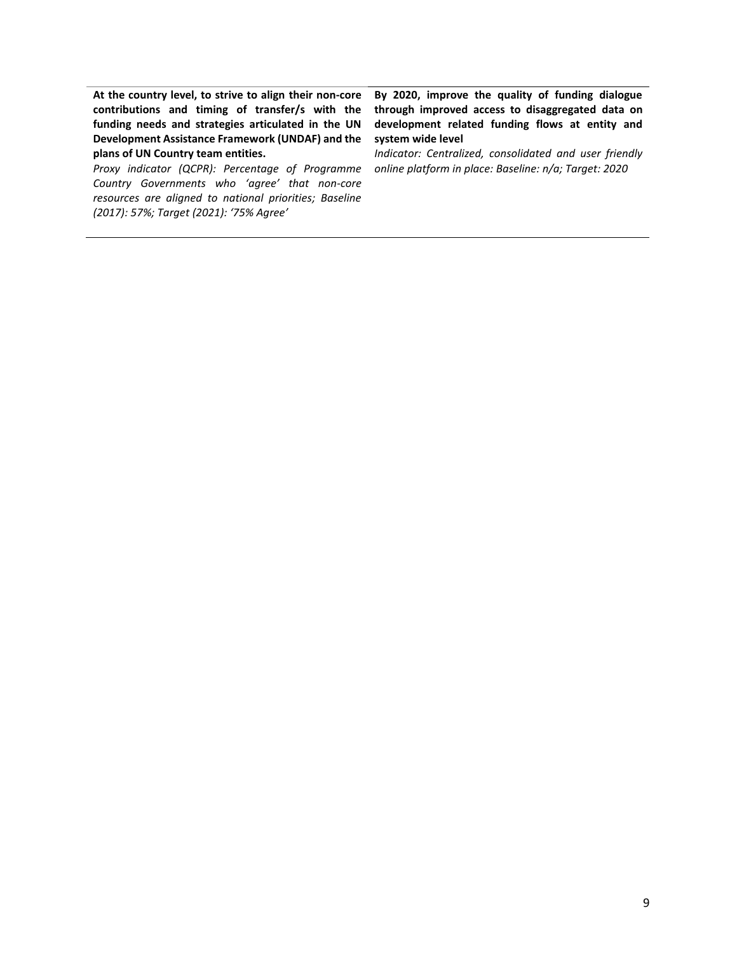**At the country level, to strive to align their non-core contributions and timing of transfer/s with the funding needs and strategies articulated in the UN Development Assistance Framework (UNDAF) and the plans of UN Country team entities.**

*Proxy indicator (QCPR): Percentage of Programme Country Governments who 'agree' that non-core resources are aligned to national priorities; Baseline (2017): 57%; Target (2021): '75% Agree'*

**By 2020, improve the quality of funding dialogue through improved access to disaggregated data on development related funding flows at entity and system wide level**

*Indicator: Centralized, consolidated and user friendly online platform in place: Baseline: n/a; Target: 2020*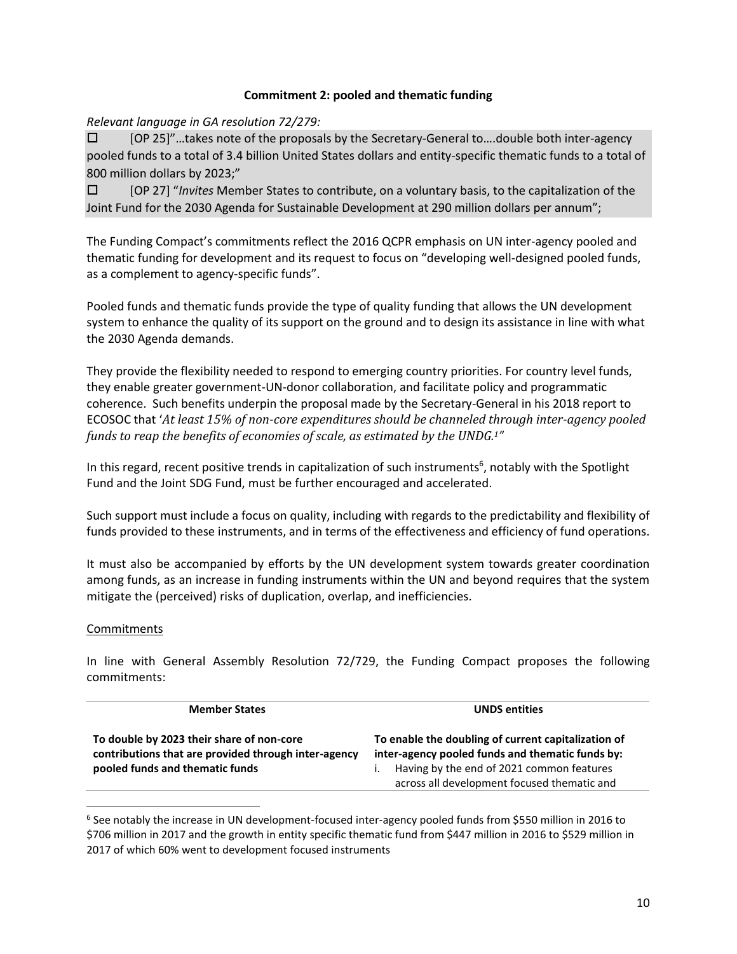# **Commitment 2: pooled and thematic funding**

*Relevant language in GA resolution 72/279:*

 [OP 25]"…takes note of the proposals by the Secretary-General to….double both inter-agency pooled funds to a total of 3.4 billion United States dollars and entity-specific thematic funds to a total of 800 million dollars by 2023;"

 [OP 27] "*Invites* Member States to contribute, on a voluntary basis, to the capitalization of the Joint Fund for the 2030 Agenda for Sustainable Development at 290 million dollars per annum";

The Funding Compact's commitments reflect the 2016 QCPR emphasis on UN inter-agency pooled and thematic funding for development and its request to focus on "developing well-designed pooled funds, as a complement to agency-specific funds".

Pooled funds and thematic funds provide the type of quality funding that allows the UN development system to enhance the quality of its support on the ground and to design its assistance in line with what the 2030 Agenda demands.

They provide the flexibility needed to respond to emerging country priorities. For country level funds, they enable greater government-UN-donor collaboration, and facilitate policy and programmatic coherence. Such benefits underpin the proposal made by the Secretary-General in his 2018 report to ECOSOC that '*At least 15% of non-core expenditures should be channeled through inter-agency pooled funds to reap the benefits of economies of scale, as estimated by the UNDG.1"*

In this regard, recent positive trends in capitalization of such instruments<sup>6</sup>, notably with the Spotlight Fund and the Joint SDG Fund, must be further encouraged and accelerated.

Such support must include a focus on quality, including with regards to the predictability and flexibility of funds provided to these instruments, and in terms of the effectiveness and efficiency of fund operations.

It must also be accompanied by efforts by the UN development system towards greater coordination among funds, as an increase in funding instruments within the UN and beyond requires that the system mitigate the (perceived) risks of duplication, overlap, and inefficiencies.

# **Commitments**

 $\overline{a}$ 

| <b>Member States</b>                                                                                                                 | <b>UNDS</b> entities                                                                                                                                                                                |
|--------------------------------------------------------------------------------------------------------------------------------------|-----------------------------------------------------------------------------------------------------------------------------------------------------------------------------------------------------|
| To double by 2023 their share of non-core<br>contributions that are provided through inter-agency<br>pooled funds and thematic funds | To enable the doubling of current capitalization of<br>inter-agency pooled funds and thematic funds by:<br>Having by the end of 2021 common features<br>across all development focused thematic and |

<sup>6</sup> See notably the increase in UN development-focused inter-agency pooled funds from \$550 million in 2016 to \$706 million in 2017 and the growth in entity specific thematic fund from \$447 million in 2016 to \$529 million in 2017 of which 60% went to development focused instruments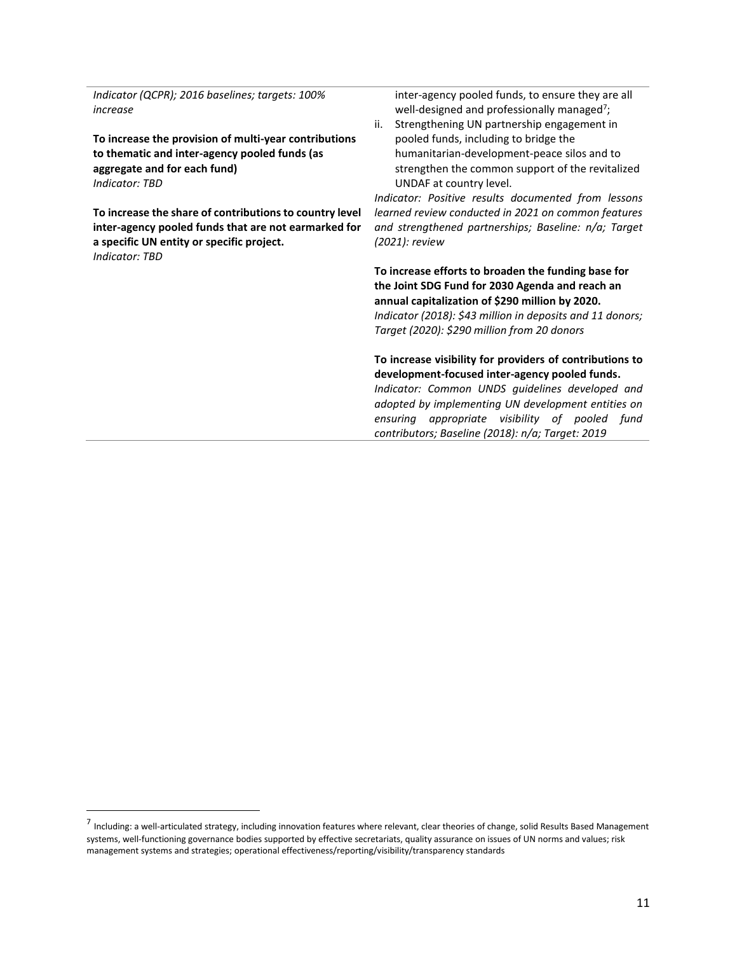*Indicator (QCPR); 2016 baselines; targets: 100% increase*

**To increase the provision of multi-year contributions to thematic and inter-agency pooled funds (as aggregate and for each fund)** *Indicator: TBD*

**To increase the share of contributions to country level inter-agency pooled funds that are not earmarked for a specific UN entity or specific project.**  *Indicator: TBD*

 $\overline{\phantom{a}}$ 

inter-agency pooled funds, to ensure they are all well-designed and professionally managed<sup>7</sup>;

ii. Strengthening UN partnership engagement in pooled funds, including to bridge the humanitarian-development-peace silos and to strengthen the common support of the revitalized UNDAF at country level.

*Indicator: Positive results documented from lessons learned review conducted in 2021 on common features and strengthened partnerships; Baseline: n/a; Target (2021): review*

**To increase efforts to broaden the funding base for the Joint SDG Fund for 2030 Agenda and reach an annual capitalization of \$290 million by 2020.** *Indicator (2018): \$43 million in deposits and 11 donors; Target (2020): \$290 million from 20 donors*

**To increase visibility for providers of contributions to development-focused inter-agency pooled funds.**  *Indicator: Common UNDS guidelines developed and adopted by implementing UN development entities on ensuring appropriate visibility of pooled fund contributors; Baseline (2018): n/a; Target: 2019* 

<sup>7</sup> Including: a well-articulated strategy, including innovation features where relevant, clear theories of change, solid Results Based Management systems, well-functioning governance bodies supported by effective secretariats, quality assurance on issues of UN norms and values; risk management systems and strategies; operational effectiveness/reporting/visibility/transparency standards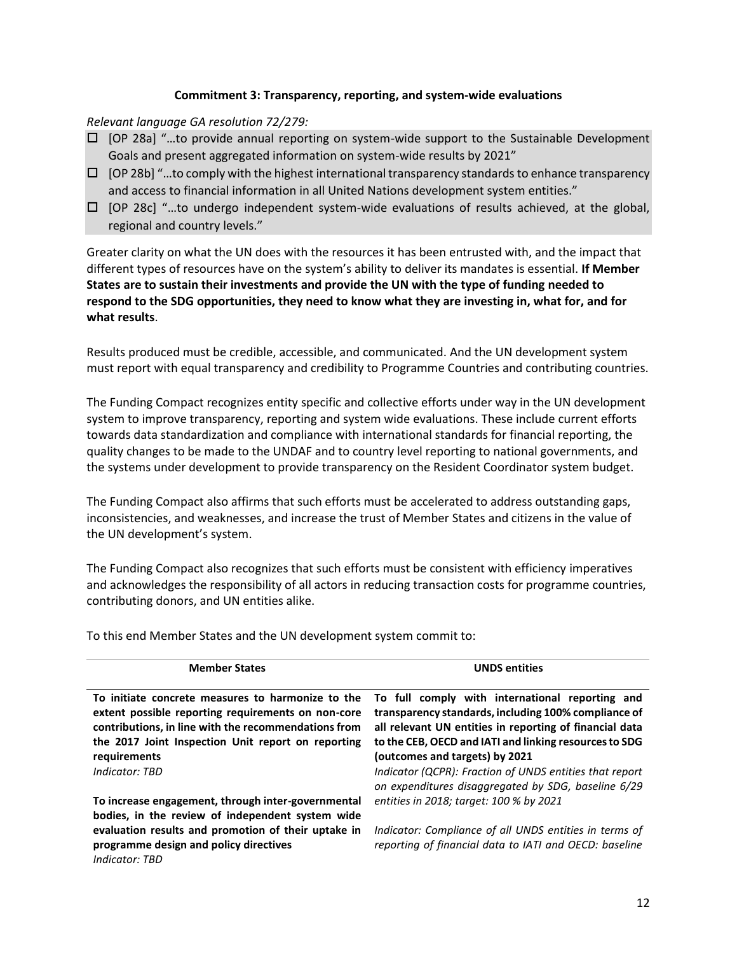# **Commitment 3: Transparency, reporting, and system-wide evaluations**

#### *Relevant language GA resolution 72/279:*

- [OP 28a] "…to provide annual reporting on system-wide support to the Sustainable Development Goals and present aggregated information on system-wide results by 2021"
- $\Box$  [OP 28b] "...to comply with the highest international transparency standards to enhance transparency and access to financial information in all United Nations development system entities."
- $\Box$  [OP 28c] "...to undergo independent system-wide evaluations of results achieved, at the global, regional and country levels."

Greater clarity on what the UN does with the resources it has been entrusted with, and the impact that different types of resources have on the system's ability to deliver its mandates is essential. **If Member States are to sustain their investments and provide the UN with the type of funding needed to respond to the SDG opportunities, they need to know what they are investing in, what for, and for what results**.

Results produced must be credible, accessible, and communicated. And the UN development system must report with equal transparency and credibility to Programme Countries and contributing countries.

The Funding Compact recognizes entity specific and collective efforts under way in the UN development system to improve transparency, reporting and system wide evaluations. These include current efforts towards data standardization and compliance with international standards for financial reporting, the quality changes to be made to the UNDAF and to country level reporting to national governments, and the systems under development to provide transparency on the Resident Coordinator system budget.

The Funding Compact also affirms that such efforts must be accelerated to address outstanding gaps, inconsistencies, and weaknesses, and increase the trust of Member States and citizens in the value of the UN development's system.

The Funding Compact also recognizes that such efforts must be consistent with efficiency imperatives and acknowledges the responsibility of all actors in reducing transaction costs for programme countries, contributing donors, and UN entities alike.

| <b>Member States</b>                                                                                                                                                                                                                                    | <b>UNDS</b> entities                                                                                                                                                                                                                                                                                                                                                             |
|---------------------------------------------------------------------------------------------------------------------------------------------------------------------------------------------------------------------------------------------------------|----------------------------------------------------------------------------------------------------------------------------------------------------------------------------------------------------------------------------------------------------------------------------------------------------------------------------------------------------------------------------------|
| To initiate concrete measures to harmonize to the<br>extent possible reporting requirements on non-core<br>contributions, in line with the recommendations from<br>the 2017 Joint Inspection Unit report on reporting<br>requirements<br>Indicator: TBD | To full comply with international reporting and<br>transparency standards, including 100% compliance of<br>all relevant UN entities in reporting of financial data<br>to the CEB, OECD and IATI and linking resources to SDG<br>(outcomes and targets) by 2021<br>Indicator (QCPR): Fraction of UNDS entities that report<br>on expenditures disaggregated by SDG, baseline 6/29 |
| To increase engagement, through inter-governmental<br>bodies, in the review of independent system wide                                                                                                                                                  | entities in 2018; target: 100 % by 2021                                                                                                                                                                                                                                                                                                                                          |
| evaluation results and promotion of their uptake in<br>programme design and policy directives<br>Indicator: TBD                                                                                                                                         | Indicator: Compliance of all UNDS entities in terms of<br>reporting of financial data to IATI and OECD: baseline                                                                                                                                                                                                                                                                 |

To this end Member States and the UN development system commit to: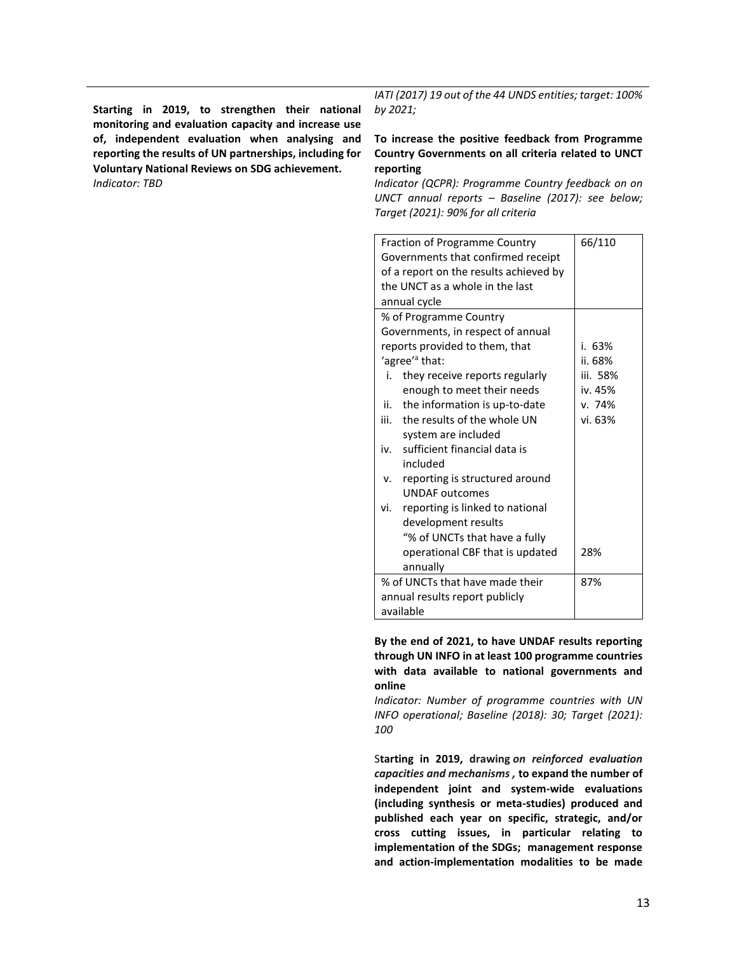**Starting in 2019, to strengthen their national monitoring and evaluation capacity and increase use of, independent evaluation when analysing and reporting the results of UN partnerships, including for Voluntary National Reviews on SDG achievement.** *Indicator: TBD*

*IATI (2017) 19 out of the 44 UNDS entities; target: 100% by 2021;* 

#### **To increase the positive feedback from Programme Country Governments on all criteria related to UNCT reporting**

*Indicator (QCPR): Programme Country feedback on on UNCT annual reports – Baseline (2017): see below; Target (2021): 90% for all criteria*

| 66/110<br>Fraction of Programme Country |                                   |          |
|-----------------------------------------|-----------------------------------|----------|
| Governments that confirmed receipt      |                                   |          |
| of a report on the results achieved by  |                                   |          |
|                                         | the UNCT as a whole in the last   |          |
|                                         | annual cycle                      |          |
|                                         | % of Programme Country            |          |
|                                         | Governments, in respect of annual |          |
|                                         | reports provided to them, that    | i. 63%   |
|                                         | 'agree' <sup>a</sup> that:        | ii. 68%  |
| i.                                      | they receive reports regularly    | iii. 58% |
|                                         | enough to meet their needs        | iv. 45%  |
| ii.                                     | the information is up-to-date     | v. 74%   |
|                                         | iii. the results of the whole UN  | vi. 63%  |
| system are included                     |                                   |          |
|                                         | iv. sufficient financial data is  |          |
|                                         | included                          |          |
| v.                                      | reporting is structured around    |          |
| <b>UNDAF</b> outcomes                   |                                   |          |
| vi.                                     | reporting is linked to national   |          |
| development results                     |                                   |          |
|                                         | "% of UNCTs that have a fully     |          |
| 28%<br>operational CBF that is updated  |                                   |          |
| annually                                |                                   |          |
| % of UNCTs that have made their<br>87%  |                                   |          |
| annual results report publicly          |                                   |          |
|                                         | available                         |          |

**By the end of 2021, to have UNDAF results reporting through UN INFO in at least 100 programme countries with data available to national governments and online**

*Indicator: Number of programme countries with UN INFO operational; Baseline (2018): 30; Target (2021): 100*

S**tarting in 2019, drawing** *on reinforced evaluation capacities and mechanisms ,* **to expand the number of independent joint and system-wide evaluations (including synthesis or meta-studies) produced and published each year on specific, strategic, and/or cross cutting issues, in particular relating to implementation of the SDGs; management response and action-implementation modalities to be made**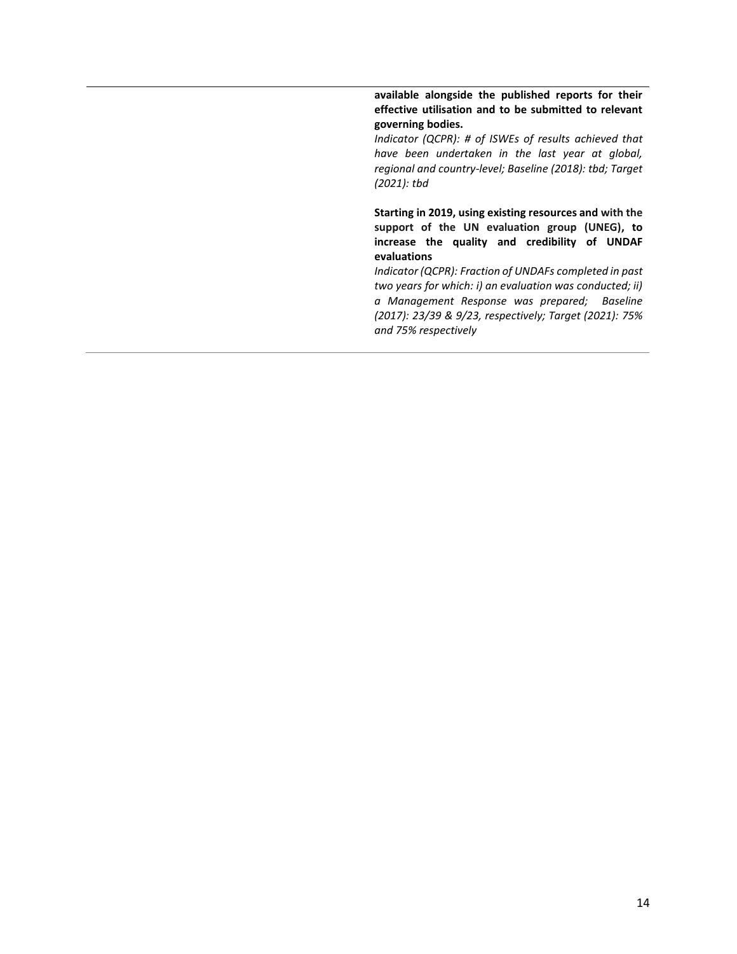**available alongside the published reports for their effective utilisation and to be submitted to relevant governing bodies.**

*Indicator (QCPR): # of ISWEs of results achieved that have been undertaken in the last year at global, regional and country-level; Baseline (2018): tbd; Target (2021): tbd*

**Starting in 2019, using existing resources and with the support of the UN evaluation group (UNEG), to increase the quality and credibility of UNDAF evaluations**

*Indicator (QCPR): Fraction of UNDAFs completed in past two years for which: i) an evaluation was conducted; ii) a Management Response was prepared; Baseline (2017): 23/39 & 9/23, respectively; Target (2021): 75% and 75% respectively*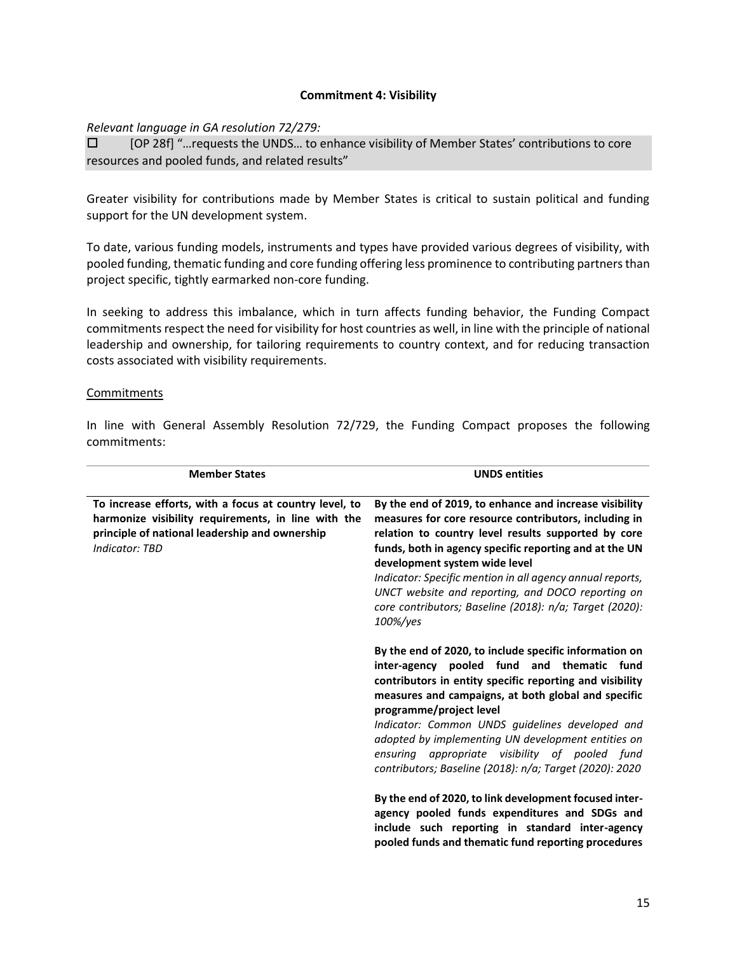#### **Commitment 4: Visibility**

*Relevant language in GA resolution 72/279:*

 [OP 28f] "…requests the UNDS… to enhance visibility of Member States' contributions to core resources and pooled funds, and related results"

Greater visibility for contributions made by Member States is critical to sustain political and funding support for the UN development system.

To date, various funding models, instruments and types have provided various degrees of visibility, with pooled funding, thematic funding and core funding offering less prominence to contributing partners than project specific, tightly earmarked non-core funding.

In seeking to address this imbalance, which in turn affects funding behavior, the Funding Compact commitments respect the need for visibility for host countries as well, in line with the principle of national leadership and ownership, for tailoring requirements to country context, and for reducing transaction costs associated with visibility requirements.

#### Commitments

| <b>Member States</b>                                                                                                                                                              | <b>UNDS entities</b>                                                                                                                                                                                                                                                                                                                                                                                                                                                     |
|-----------------------------------------------------------------------------------------------------------------------------------------------------------------------------------|--------------------------------------------------------------------------------------------------------------------------------------------------------------------------------------------------------------------------------------------------------------------------------------------------------------------------------------------------------------------------------------------------------------------------------------------------------------------------|
| To increase efforts, with a focus at country level, to<br>harmonize visibility requirements, in line with the<br>principle of national leadership and ownership<br>Indicator: TBD | By the end of 2019, to enhance and increase visibility<br>measures for core resource contributors, including in<br>relation to country level results supported by core<br>funds, both in agency specific reporting and at the UN<br>development system wide level<br>Indicator: Specific mention in all agency annual reports,<br>UNCT website and reporting, and DOCO reporting on<br>core contributors; Baseline (2018): n/a; Target (2020):<br>100%/yes               |
|                                                                                                                                                                                   | By the end of 2020, to include specific information on<br>inter-agency pooled fund and thematic fund<br>contributors in entity specific reporting and visibility<br>measures and campaigns, at both global and specific<br>programme/project level<br>Indicator: Common UNDS guidelines developed and<br>adopted by implementing UN development entities on<br>ensuring appropriate visibility of pooled fund<br>contributors; Baseline (2018): n/a; Target (2020): 2020 |
|                                                                                                                                                                                   | By the end of 2020, to link development focused inter-<br>agency pooled funds expenditures and SDGs and<br>include such reporting in standard inter-agency<br>pooled funds and thematic fund reporting procedures                                                                                                                                                                                                                                                        |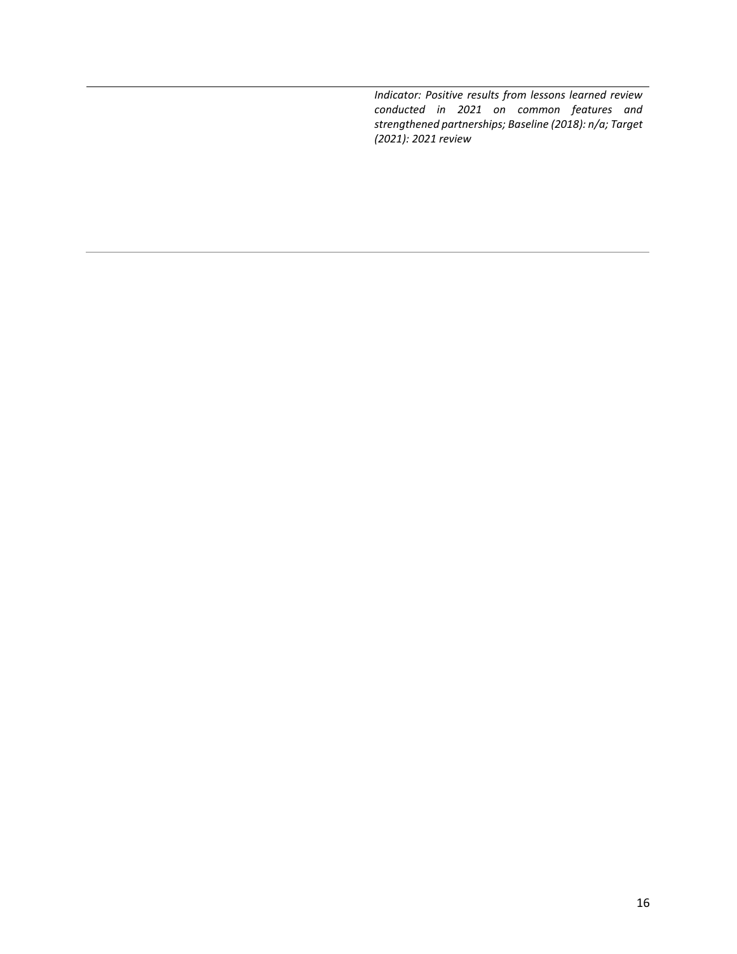*Indicator: Positive results from lessons learned review conducted in 2021 on common features and strengthened partnerships; Baseline (2018): n/a; Target (2021): 2021 review*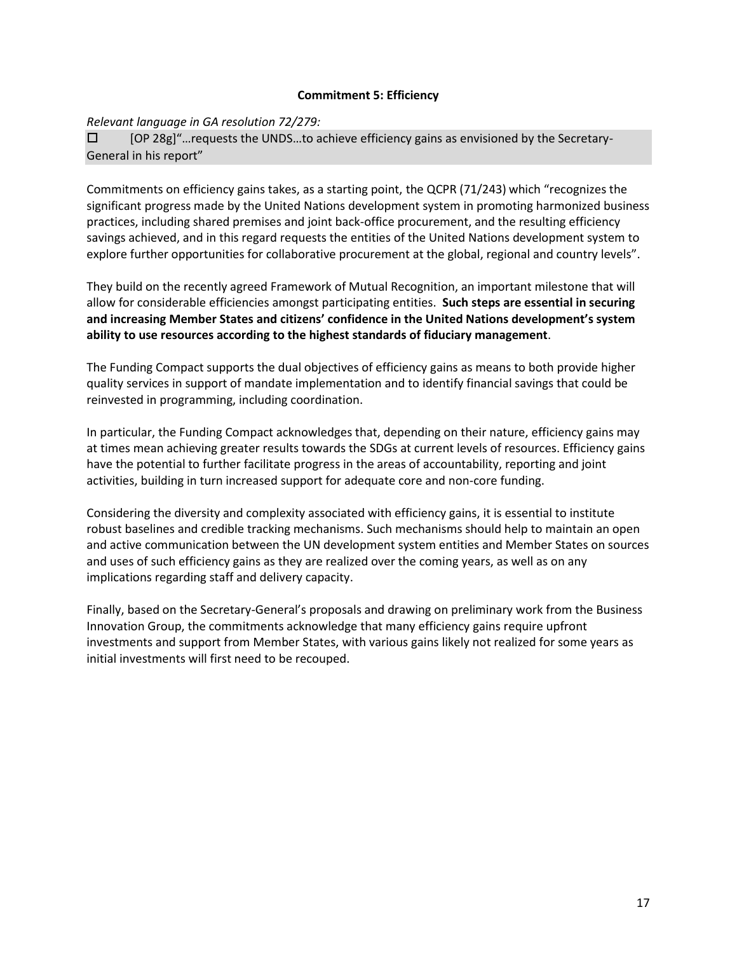#### **Commitment 5: Efficiency**

# *Relevant language in GA resolution 72/279:*

 [OP 28g]"…requests the UNDS…to achieve efficiency gains as envisioned by the Secretary-General in his report"

Commitments on efficiency gains takes, as a starting point, the QCPR (71/243) which "recognizes the significant progress made by the United Nations development system in promoting harmonized business practices, including shared premises and joint back-office procurement, and the resulting efficiency savings achieved, and in this regard requests the entities of the United Nations development system to explore further opportunities for collaborative procurement at the global, regional and country levels".

They build on the recently agreed Framework of Mutual Recognition, an important milestone that will allow for considerable efficiencies amongst participating entities. **Such steps are essential in securing and increasing Member States and citizens' confidence in the United Nations development's system ability to use resources according to the highest standards of fiduciary management**.

The Funding Compact supports the dual objectives of efficiency gains as means to both provide higher quality services in support of mandate implementation and to identify financial savings that could be reinvested in programming, including coordination.

In particular, the Funding Compact acknowledges that, depending on their nature, efficiency gains may at times mean achieving greater results towards the SDGs at current levels of resources. Efficiency gains have the potential to further facilitate progress in the areas of accountability, reporting and joint activities, building in turn increased support for adequate core and non-core funding.

Considering the diversity and complexity associated with efficiency gains, it is essential to institute robust baselines and credible tracking mechanisms. Such mechanisms should help to maintain an open and active communication between the UN development system entities and Member States on sources and uses of such efficiency gains as they are realized over the coming years, as well as on any implications regarding staff and delivery capacity.

Finally, based on the Secretary-General's proposals and drawing on preliminary work from the Business Innovation Group, the commitments acknowledge that many efficiency gains require upfront investments and support from Member States, with various gains likely not realized for some years as initial investments will first need to be recouped.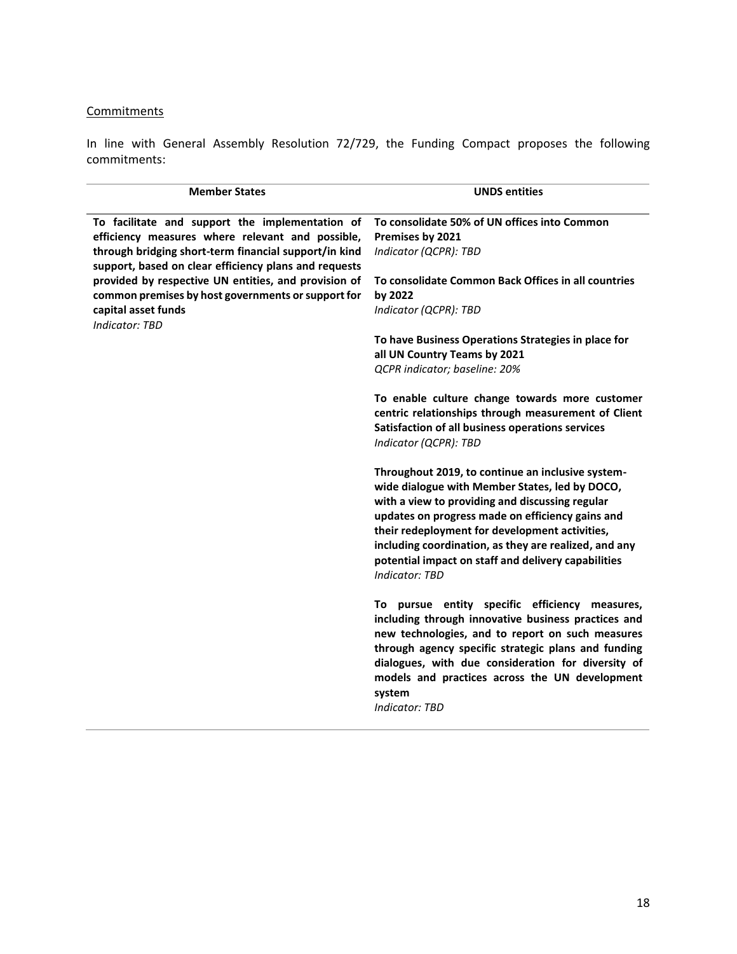# **Commitments**

| <b>Member States</b>                                                                                           | <b>UNDS entities</b>                                                                                                                                                                                                                                                                                                                                                                                  |
|----------------------------------------------------------------------------------------------------------------|-------------------------------------------------------------------------------------------------------------------------------------------------------------------------------------------------------------------------------------------------------------------------------------------------------------------------------------------------------------------------------------------------------|
| To facilitate and support the implementation of                                                                | To consolidate 50% of UN offices into Common                                                                                                                                                                                                                                                                                                                                                          |
| efficiency measures where relevant and possible,                                                               | Premises by 2021                                                                                                                                                                                                                                                                                                                                                                                      |
| through bridging short-term financial support/in kind<br>support, based on clear efficiency plans and requests | Indicator (QCPR): TBD                                                                                                                                                                                                                                                                                                                                                                                 |
| provided by respective UN entities, and provision of<br>common premises by host governments or support for     | To consolidate Common Back Offices in all countries<br>by 2022                                                                                                                                                                                                                                                                                                                                        |
| capital asset funds                                                                                            | Indicator (QCPR): TBD                                                                                                                                                                                                                                                                                                                                                                                 |
| <b>Indicator: TBD</b>                                                                                          |                                                                                                                                                                                                                                                                                                                                                                                                       |
|                                                                                                                | To have Business Operations Strategies in place for<br>all UN Country Teams by 2021                                                                                                                                                                                                                                                                                                                   |
|                                                                                                                | QCPR indicator; baseline: 20%                                                                                                                                                                                                                                                                                                                                                                         |
|                                                                                                                | To enable culture change towards more customer<br>centric relationships through measurement of Client<br>Satisfaction of all business operations services<br>Indicator (QCPR): TBD                                                                                                                                                                                                                    |
|                                                                                                                | Throughout 2019, to continue an inclusive system-<br>wide dialogue with Member States, led by DOCO,<br>with a view to providing and discussing regular<br>updates on progress made on efficiency gains and<br>their redeployment for development activities,<br>including coordination, as they are realized, and any<br>potential impact on staff and delivery capabilities<br><b>Indicator: TBD</b> |
|                                                                                                                | To pursue entity specific efficiency measures,<br>including through innovative business practices and<br>new technologies, and to report on such measures<br>through agency specific strategic plans and funding<br>dialogues, with due consideration for diversity of<br>models and practices across the UN development<br>system<br><b>Indicator: TBD</b>                                           |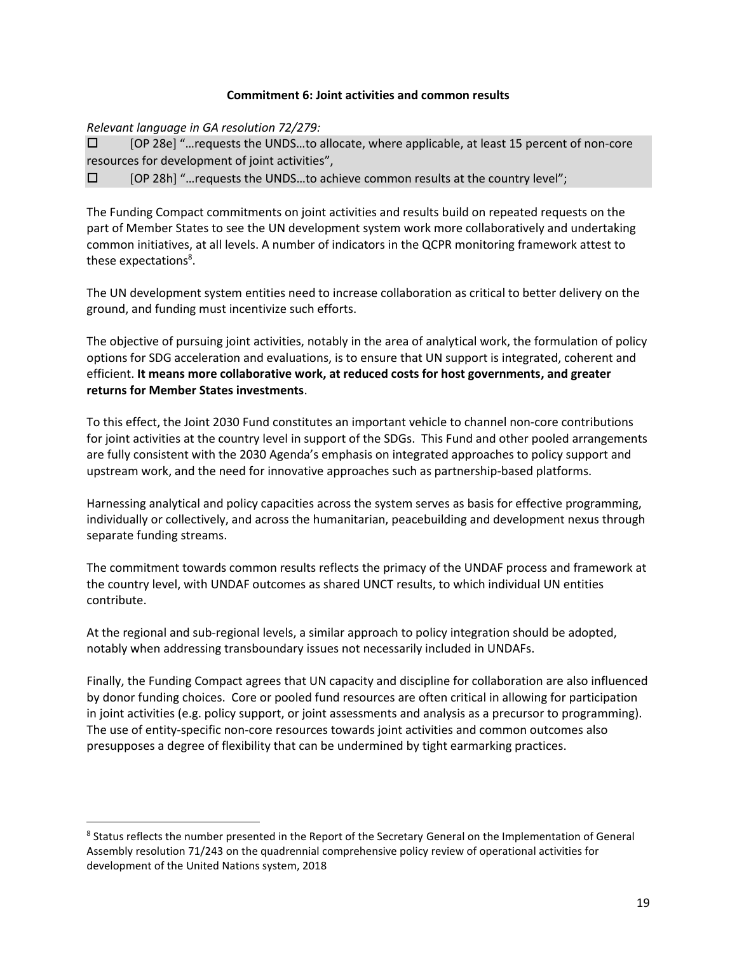#### **Commitment 6: Joint activities and common results**

*Relevant language in GA resolution 72/279:*

 $\overline{\phantom{a}}$ 

 [OP 28e] "…requests the UNDS…to allocate, where applicable, at least 15 percent of non-core resources for development of joint activities",

 $\square$  [OP 28h] "... requests the UNDS... to achieve common results at the country level";

The Funding Compact commitments on joint activities and results build on repeated requests on the part of Member States to see the UN development system work more collaboratively and undertaking common initiatives, at all levels. A number of indicators in the QCPR monitoring framework attest to these expectations<sup>8</sup>.

The UN development system entities need to increase collaboration as critical to better delivery on the ground, and funding must incentivize such efforts.

The objective of pursuing joint activities, notably in the area of analytical work, the formulation of policy options for SDG acceleration and evaluations, is to ensure that UN support is integrated, coherent and efficient. **It means more collaborative work, at reduced costs for host governments, and greater returns for Member States investments**.

To this effect, the Joint 2030 Fund constitutes an important vehicle to channel non-core contributions for joint activities at the country level in support of the SDGs. This Fund and other pooled arrangements are fully consistent with the 2030 Agenda's emphasis on integrated approaches to policy support and upstream work, and the need for innovative approaches such as partnership-based platforms.

Harnessing analytical and policy capacities across the system serves as basis for effective programming, individually or collectively, and across the humanitarian, peacebuilding and development nexus through separate funding streams.

The commitment towards common results reflects the primacy of the UNDAF process and framework at the country level, with UNDAF outcomes as shared UNCT results, to which individual UN entities contribute.

At the regional and sub-regional levels, a similar approach to policy integration should be adopted, notably when addressing transboundary issues not necessarily included in UNDAFs.

Finally, the Funding Compact agrees that UN capacity and discipline for collaboration are also influenced by donor funding choices. Core or pooled fund resources are often critical in allowing for participation in joint activities (e.g. policy support, or joint assessments and analysis as a precursor to programming). The use of entity-specific non-core resources towards joint activities and common outcomes also presupposes a degree of flexibility that can be undermined by tight earmarking practices.

<sup>&</sup>lt;sup>8</sup> Status reflects the number presented in the Report of the Secretary General on the Implementation of General Assembly resolution 71/243 on the quadrennial comprehensive policy review of operational activities for development of the United Nations system, 2018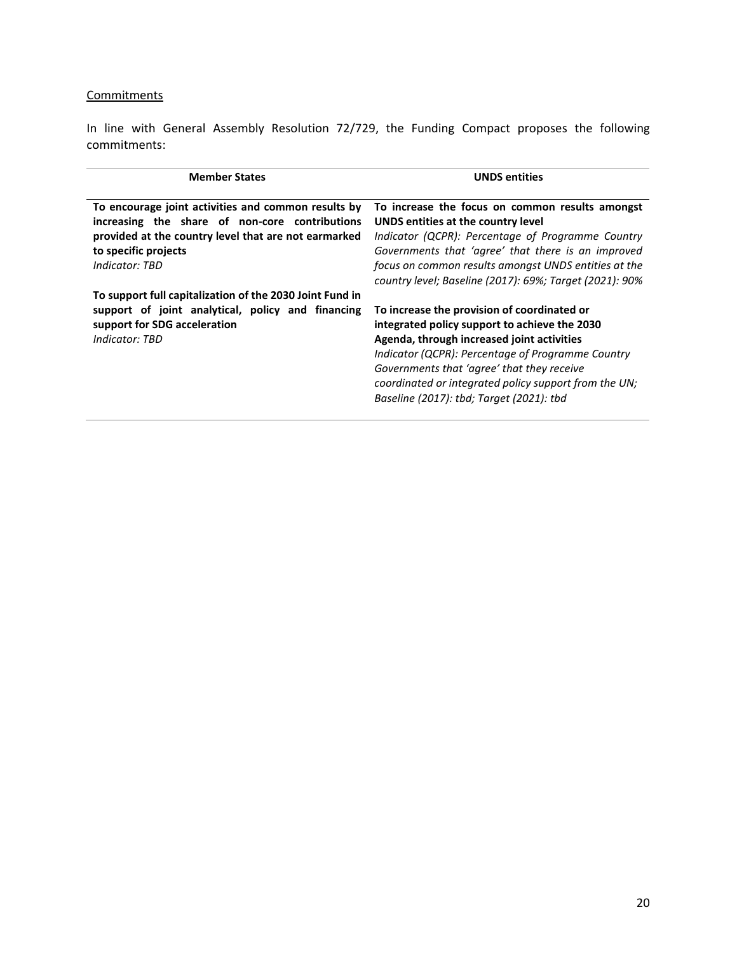# **Commitments**

| <b>Member States</b>                                                                                                                                                                                    | <b>UNDS entities</b>                                                                                                                                                                                                                                                                                                                               |
|---------------------------------------------------------------------------------------------------------------------------------------------------------------------------------------------------------|----------------------------------------------------------------------------------------------------------------------------------------------------------------------------------------------------------------------------------------------------------------------------------------------------------------------------------------------------|
| To encourage joint activities and common results by<br>increasing the share of non-core contributions<br>provided at the country level that are not earmarked<br>to specific projects<br>Indicator: TBD | To increase the focus on common results amongst<br>UNDS entities at the country level<br>Indicator (QCPR): Percentage of Programme Country<br>Governments that 'agree' that there is an improved<br>focus on common results amongst UNDS entities at the<br>country level; Baseline (2017): 69%; Target (2021): 90%                                |
| To support full capitalization of the 2030 Joint Fund in<br>support of joint analytical, policy and financing<br>support for SDG acceleration<br>Indicator: TBD                                         | To increase the provision of coordinated or<br>integrated policy support to achieve the 2030<br>Agenda, through increased joint activities<br>Indicator (QCPR): Percentage of Programme Country<br>Governments that 'agree' that they receive<br>coordinated or integrated policy support from the UN;<br>Baseline (2017): tbd; Target (2021): tbd |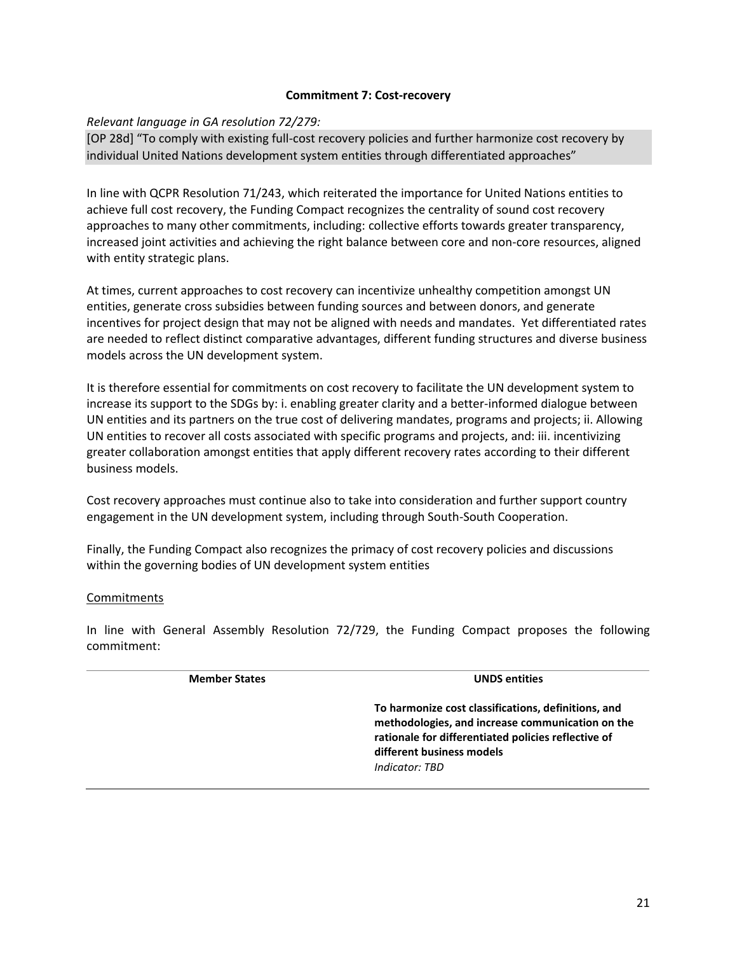#### **Commitment 7: Cost-recovery**

#### *Relevant language in GA resolution 72/279:*

[OP 28d] "To comply with existing full-cost recovery policies and further harmonize cost recovery by individual United Nations development system entities through differentiated approaches"

In line with QCPR Resolution 71/243, which reiterated the importance for United Nations entities to achieve full cost recovery, the Funding Compact recognizes the centrality of sound cost recovery approaches to many other commitments, including: collective efforts towards greater transparency, increased joint activities and achieving the right balance between core and non-core resources, aligned with entity strategic plans.

At times, current approaches to cost recovery can incentivize unhealthy competition amongst UN entities, generate cross subsidies between funding sources and between donors, and generate incentives for project design that may not be aligned with needs and mandates. Yet differentiated rates are needed to reflect distinct comparative advantages, different funding structures and diverse business models across the UN development system.

It is therefore essential for commitments on cost recovery to facilitate the UN development system to increase its support to the SDGs by: i. enabling greater clarity and a better-informed dialogue between UN entities and its partners on the true cost of delivering mandates, programs and projects; ii. Allowing UN entities to recover all costs associated with specific programs and projects, and: iii. incentivizing greater collaboration amongst entities that apply different recovery rates according to their different business models.

Cost recovery approaches must continue also to take into consideration and further support country engagement in the UN development system, including through South-South Cooperation.

Finally, the Funding Compact also recognizes the primacy of cost recovery policies and discussions within the governing bodies of UN development system entities

#### **Commitments**

| <b>Member States</b> | <b>UNDS</b> entities                                                                                                                                                                                          |
|----------------------|---------------------------------------------------------------------------------------------------------------------------------------------------------------------------------------------------------------|
|                      | To harmonize cost classifications, definitions, and<br>methodologies, and increase communication on the<br>rationale for differentiated policies reflective of<br>different business models<br>Indicator: TBD |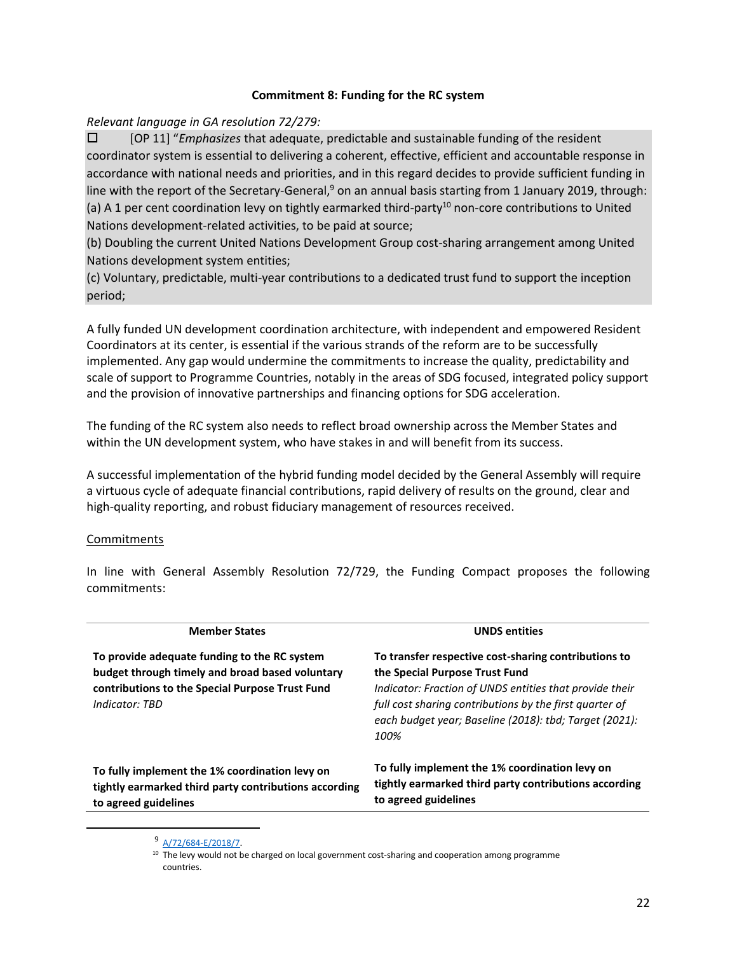# **Commitment 8: Funding for the RC system**

# *Relevant language in GA resolution 72/279:*

 [OP 11] "*Emphasizes* that adequate, predictable and sustainable funding of the resident coordinator system is essential to delivering a coherent, effective, efficient and accountable response in accordance with national needs and priorities, and in this regard decides to provide sufficient funding in line with the report of the Secretary-General, $9$  on an annual basis starting from 1 January 2019, through: (a) A 1 per cent coordination levy on tightly earmarked third-party<sup>10</sup> non-core contributions to United Nations development-related activities, to be paid at source;

(b) Doubling the current United Nations Development Group cost-sharing arrangement among United Nations development system entities;

(c) Voluntary, predictable, multi-year contributions to a dedicated trust fund to support the inception period;

A fully funded UN development coordination architecture, with independent and empowered Resident Coordinators at its center, is essential if the various strands of the reform are to be successfully implemented. Any gap would undermine the commitments to increase the quality, predictability and scale of support to Programme Countries, notably in the areas of SDG focused, integrated policy support and the provision of innovative partnerships and financing options for SDG acceleration.

The funding of the RC system also needs to reflect broad ownership across the Member States and within the UN development system, who have stakes in and will benefit from its success.

A successful implementation of the hybrid funding model decided by the General Assembly will require a virtuous cycle of adequate financial contributions, rapid delivery of results on the ground, clear and high-quality reporting, and robust fiduciary management of resources received.

# Commitments

 $\overline{\phantom{a}}$ 

| <b>Member States</b>                                                                                                                                                 | <b>UNDS</b> entities                                                                                                                                                                                                                                                           |
|----------------------------------------------------------------------------------------------------------------------------------------------------------------------|--------------------------------------------------------------------------------------------------------------------------------------------------------------------------------------------------------------------------------------------------------------------------------|
| To provide adequate funding to the RC system<br>budget through timely and broad based voluntary<br>contributions to the Special Purpose Trust Fund<br>Indicator: TBD | To transfer respective cost-sharing contributions to<br>the Special Purpose Trust Fund<br>Indicator: Fraction of UNDS entities that provide their<br>full cost sharing contributions by the first quarter of<br>each budget year; Baseline (2018): tbd; Target (2021):<br>100% |
| To fully implement the 1% coordination levy on<br>tightly earmarked third party contributions according<br>to agreed guidelines                                      | To fully implement the 1% coordination levy on<br>tightly earmarked third party contributions according<br>to agreed guidelines                                                                                                                                                |

<sup>9</sup> A/72/684-E/2018/7

<sup>&</sup>lt;sup>10</sup> The levy would not be charged on local government cost-sharing and cooperation among programme countries.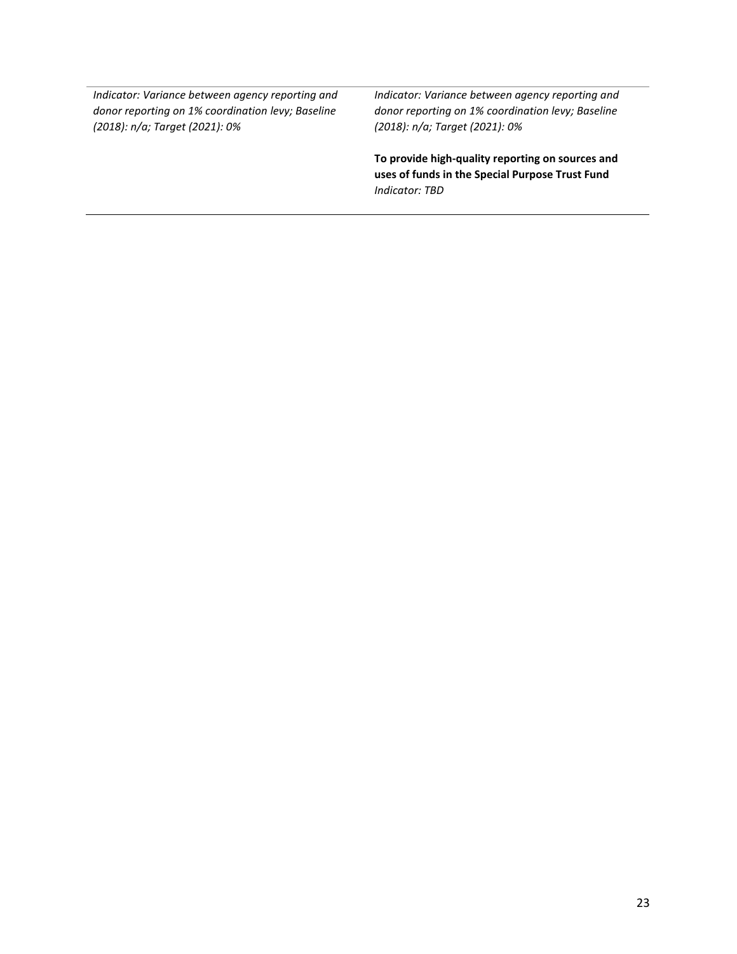*Indicator: Variance between agency reporting and donor reporting on 1% coordination levy; Baseline (2018): n/a; Target (2021): 0%*

*Indicator: Variance between agency reporting and donor reporting on 1% coordination levy; Baseline (2018): n/a; Target (2021): 0%*

**To provide high-quality reporting on sources and uses of funds in the Special Purpose Trust Fund** *Indicator: TBD*